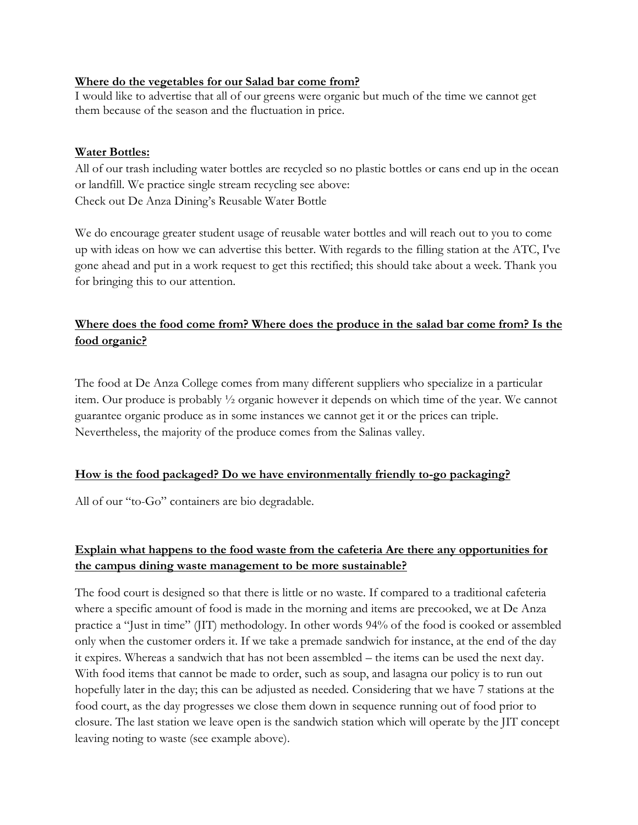### **Where do the vegetables for our Salad bar come from?**

I would like to advertise that all of our greens were organic but much of the time we cannot get them because of the season and the fluctuation in price.

### **Water Bottles:**

All of our trash including water bottles are recycled so no plastic bottles or cans end up in the ocean or landfill. We practice single stream recycling see above: Check out De Anza Dining's Reusable Water Bottle

We do encourage greater student usage of reusable water bottles and will reach out to you to come up with ideas on how we can advertise this better. With regards to the filling station at the ATC, I've gone ahead and put in a work request to get this rectified; this should take about a week. Thank you for bringing this to our attention.

# **Where does the food come from? Where does the produce in the salad bar come from? Is the food organic?**

The food at De Anza College comes from many different suppliers who specialize in a particular item. Our produce is probably ½ organic however it depends on which time of the year. We cannot guarantee organic produce as in some instances we cannot get it or the prices can triple. Nevertheless, the majority of the produce comes from the Salinas valley.

### **How is the food packaged? Do we have environmentally friendly to-go packaging?**

All of our "to-Go" containers are bio degradable.

## **Explain what happens to the food waste from the cafeteria Are there any opportunities for the campus dining waste management to be more sustainable?**

The food court is designed so that there is little or no waste. If compared to a traditional cafeteria where a specific amount of food is made in the morning and items are precooked, we at De Anza practice a "Just in time" (JIT) methodology. In other words 94% of the food is cooked or assembled only when the customer orders it. If we take a premade sandwich for instance, at the end of the day it expires. Whereas a sandwich that has not been assembled – the items can be used the next day. With food items that cannot be made to order, such as soup, and lasagna our policy is to run out hopefully later in the day; this can be adjusted as needed. Considering that we have 7 stations at the food court, as the day progresses we close them down in sequence running out of food prior to closure. The last station we leave open is the sandwich station which will operate by the JIT concept leaving noting to waste (see example above).